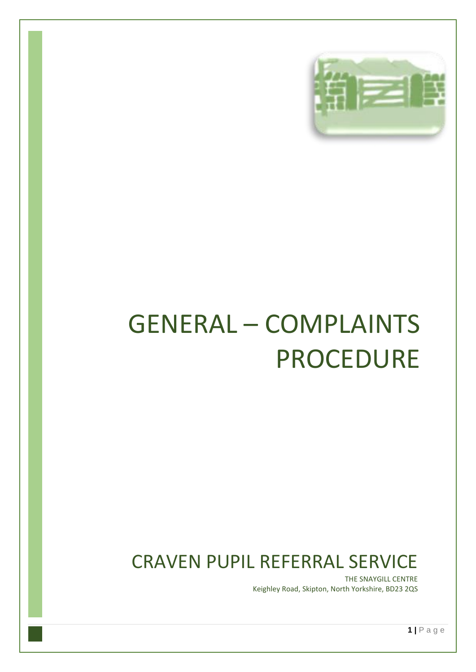

# GENERAL – COMPLAINTS PROCEDURE

## CRAVEN PUPIL REFERRAL SERVICE

THE SNAYGILL CENTRE Keighley Road, Skipton, North Yorkshire, BD23 2QS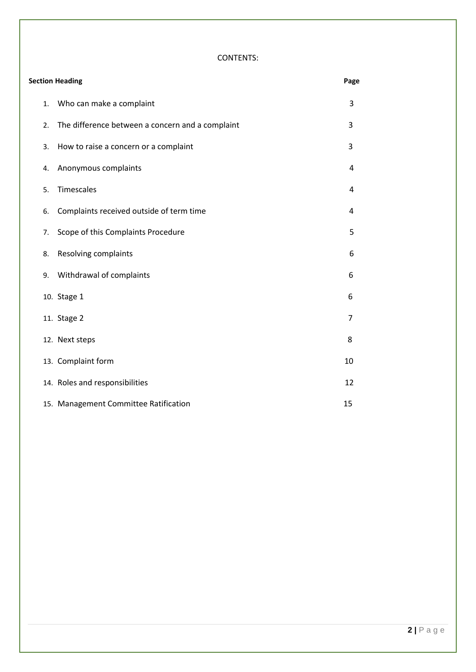#### CONTENTS:

| <b>Section Heading</b> |    |                                                  |    |  |
|------------------------|----|--------------------------------------------------|----|--|
|                        | 1. | Who can make a complaint                         | 3  |  |
|                        | 2. | The difference between a concern and a complaint | 3  |  |
|                        | 3. | How to raise a concern or a complaint            | 3  |  |
|                        | 4. | Anonymous complaints                             | 4  |  |
|                        | 5. | Timescales                                       | 4  |  |
|                        | 6. | Complaints received outside of term time         | 4  |  |
|                        | 7. | Scope of this Complaints Procedure               | 5  |  |
|                        | 8. | Resolving complaints                             | 6  |  |
|                        | 9. | Withdrawal of complaints                         | 6  |  |
|                        |    | 10. Stage 1                                      | 6  |  |
|                        |    | 11. Stage 2                                      | 7  |  |
|                        |    | 12. Next steps                                   | 8  |  |
|                        |    | 13. Complaint form                               | 10 |  |
|                        |    | 14. Roles and responsibilities                   | 12 |  |
|                        |    | 15. Management Committee Ratification            | 15 |  |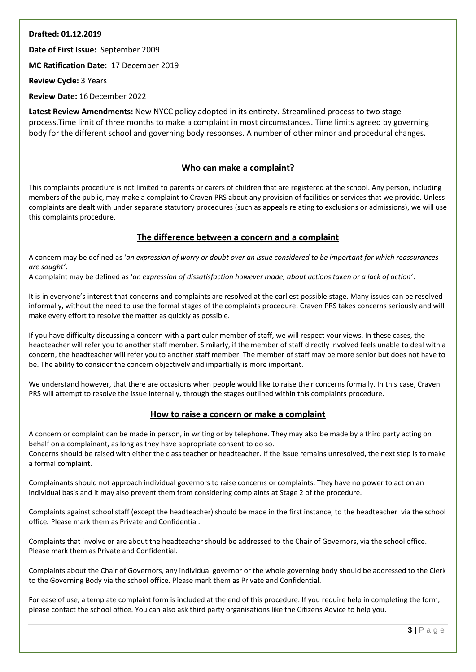#### **Drafted: 01.12.2019**

**Date of First Issue:** September 2009

**MC Ratification Date:** 17 December 2019

**Review Cycle:** 3 Years

**Review Date:** 16December 2022

**Latest Review Amendments:** New NYCC policy adopted in its entirety. Streamlined process to two stage process.Time limit of three months to make a complaint in most circumstances. Time limits agreed by governing body for the different school and governing body responses. A number of other minor and procedural changes.

#### **Who can make a complaint?**

This complaints procedure is not limited to parents or carers of children that are registered at the school. Any person, including members of the public, may make a complaint to Craven PRS about any provision of facilities or services that we provide. Unless complaints are dealt with under separate statutory procedures (such as appeals relating to exclusions or admissions), we will use this complaints procedure.

#### **The difference between a concern and a complaint**

A concern may be defined as '*an expression of worry or doubt over an issue considered to be important for which reassurances are sought'*.

A complaint may be defined as '*an expression of dissatisfaction however made, about actions taken or a lack of action*'.

It is in everyone's interest that concerns and complaints are resolved at the earliest possible stage. Many issues can be resolved informally, without the need to use the formal stages of the complaints procedure. Craven PRS takes concerns seriously and will make every effort to resolve the matter as quickly as possible.

If you have difficulty discussing a concern with a particular member of staff, we will respect your views. In these cases, the headteacher will refer you to another staff member. Similarly, if the member of staff directly involved feels unable to deal with a concern, the headteacher will refer you to another staff member. The member of staff may be more senior but does not have to be. The ability to consider the concern objectively and impartially is more important.

We understand however, that there are occasions when people would like to raise their concerns formally. In this case, Craven PRS will attempt to resolve the issue internally, through the stages outlined within this complaints procedure.

#### **How to raise a concern or make a complaint**

A concern or complaint can be made in person, in writing or by telephone. They may also be made by a third party acting on behalf on a complainant, as long as they have appropriate consent to do so. Concerns should be raised with either the class teacher or headteacher. If the issue remains unresolved, the next step is to make a formal complaint.

Complainants should not approach individual governors to raise concerns or complaints. They have no power to act on an individual basis and it may also prevent them from considering complaints at Stage 2 of the procedure.

Complaints against school staff (except the headteacher) should be made in the first instance, to the headteacher via the school office*.* Please mark them as Private and Confidential.

Complaints that involve or are about the headteacher should be addressed to the Chair of Governors, via the school office. Please mark them as Private and Confidential.

Complaints about the Chair of Governors, any individual governor or the whole governing body should be addressed to the Clerk to the Governing Body via the school office. Please mark them as Private and Confidential.

For ease of use, a template complaint form is included at the end of this procedure. If you require help in completing the form, please contact the school office. You can also ask third party organisations like the Citizens Advice to help you.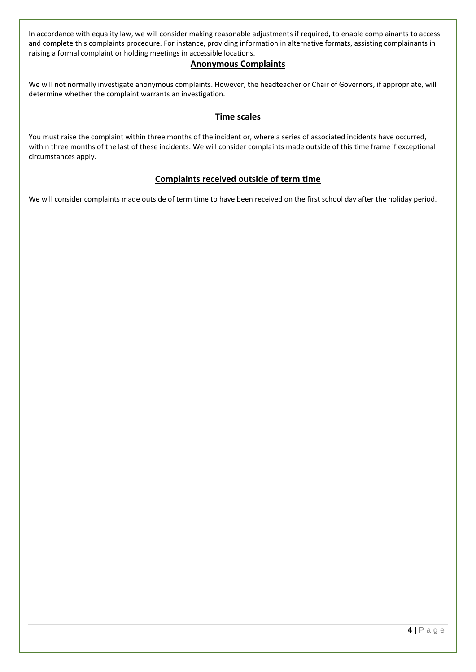In accordance with equality law, we will consider making reasonable adjustments if required, to enable complainants to access and complete this complaints procedure. For instance, providing information in alternative formats, assisting complainants in raising a formal complaint or holding meetings in accessible locations.

#### **Anonymous Complaints**

We will not normally investigate anonymous complaints. However, the headteacher or Chair of Governors, if appropriate, will determine whether the complaint warrants an investigation.

#### **Time scales**

You must raise the complaint within three months of the incident or, where a series of associated incidents have occurred, within three months of the last of these incidents. We will consider complaints made outside of this time frame if exceptional circumstances apply.

#### **Complaints received outside of term time**

We will consider complaints made outside of term time to have been received on the first school day after the holiday period.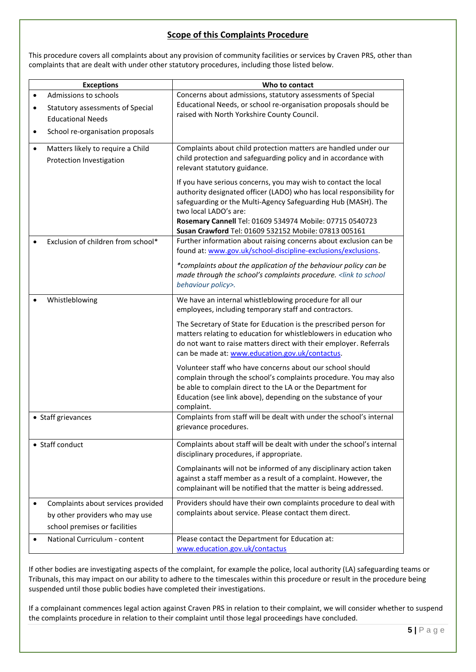#### **Scope of this Complaints Procedure**

This procedure covers all complaints about any provision of community facilities or services by Craven PRS, other than complaints that are dealt with under other statutory procedures, including those listed below.

| <b>Exceptions</b>                                                          | Who to contact                                                                                                                                                                                                                                                                                                                                         |
|----------------------------------------------------------------------------|--------------------------------------------------------------------------------------------------------------------------------------------------------------------------------------------------------------------------------------------------------------------------------------------------------------------------------------------------------|
| Admissions to schools<br>$\bullet$                                         | Concerns about admissions, statutory assessments of Special<br>Educational Needs, or school re-organisation proposals should be                                                                                                                                                                                                                        |
| Statutory assessments of Special<br>$\bullet$<br><b>Educational Needs</b>  | raised with North Yorkshire County Council.                                                                                                                                                                                                                                                                                                            |
| School re-organisation proposals<br>$\bullet$                              |                                                                                                                                                                                                                                                                                                                                                        |
| Matters likely to require a Child<br>$\bullet$<br>Protection Investigation | Complaints about child protection matters are handled under our<br>child protection and safeguarding policy and in accordance with<br>relevant statutory guidance.                                                                                                                                                                                     |
|                                                                            | If you have serious concerns, you may wish to contact the local<br>authority designated officer (LADO) who has local responsibility for<br>safeguarding or the Multi-Agency Safeguarding Hub (MASH). The<br>two local LADO's are:<br>Rosemary Cannell Tel: 01609 534974 Mobile: 07715 0540723<br>Susan Crawford Tel: 01609 532152 Mobile: 07813 005161 |
| Exclusion of children from school*<br>$\bullet$                            | Further information about raising concerns about exclusion can be<br>found at: www.gov.uk/school-discipline-exclusions/exclusions.                                                                                                                                                                                                                     |
|                                                                            | *complaints about the application of the behaviour policy can be<br>made through the school's complaints procedure. <link school<br="" to=""/> behaviour policy>.                                                                                                                                                                                      |
| Whistleblowing                                                             | We have an internal whistleblowing procedure for all our<br>employees, including temporary staff and contractors.                                                                                                                                                                                                                                      |
|                                                                            | The Secretary of State for Education is the prescribed person for<br>matters relating to education for whistleblowers in education who<br>do not want to raise matters direct with their employer. Referrals<br>can be made at: www.education.gov.uk/contactus.                                                                                        |
|                                                                            | Volunteer staff who have concerns about our school should<br>complain through the school's complaints procedure. You may also<br>be able to complain direct to the LA or the Department for<br>Education (see link above), depending on the substance of your<br>complaint.                                                                            |
| • Staff grievances                                                         | Complaints from staff will be dealt with under the school's internal<br>grievance procedures.                                                                                                                                                                                                                                                          |
| • Staff conduct                                                            | Complaints about staff will be dealt with under the school's internal<br>disciplinary procedures, if appropriate.                                                                                                                                                                                                                                      |
|                                                                            | Complainants will not be informed of any disciplinary action taken<br>against a staff member as a result of a complaint. However, the<br>complainant will be notified that the matter is being addressed.                                                                                                                                              |
| Complaints about services provided                                         | Providers should have their own complaints procedure to deal with<br>complaints about service. Please contact them direct.                                                                                                                                                                                                                             |
| by other providers who may use<br>school premises or facilities            |                                                                                                                                                                                                                                                                                                                                                        |
| National Curriculum - content                                              | Please contact the Department for Education at:<br>www.education.gov.uk/contactus                                                                                                                                                                                                                                                                      |

If other bodies are investigating aspects of the complaint, for example the police, local authority (LA) safeguarding teams or Tribunals, this may impact on our ability to adhere to the timescales within this procedure or result in the procedure being suspended until those public bodies have completed their investigations.

If a complainant commences legal action against Craven PRS in relation to their complaint, we will consider whether to suspend the complaints procedure in relation to their complaint until those legal proceedings have concluded.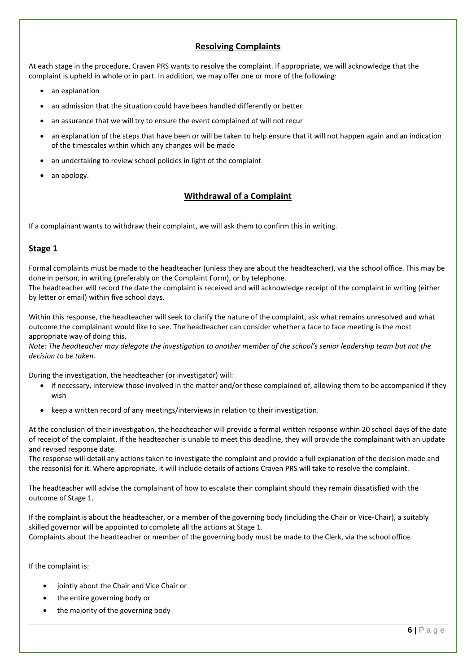#### **Resolving Complaints**

At each stage in the procedure, Craven PRS wants to resolve the complaint. If appropriate, we will acknowledge that the complaint is upheld in whole or in part. In addition, we may offer one or more of the following:

- an explanation
- an admission that the situation could have been handled differently or better
- an assurance that we will try to ensure the event complained of will not recur
- an explanation of the steps that have been or will be taken to help ensure that it will not happen again and an indication of the timescales within which any changes will be made
- an undertaking to review school policies in light of the complaint
- an apology.

#### **Withdrawal of a Complaint**

If a complainant wants to withdraw their complaint, we will ask them to confirm this in writing.

#### **Stage 1**

Formal complaints must be made to the headteacher (unless they are about the headteacher), via the school office. This may be done in person, in writing (preferably on the Complaint Form), or by telephone. The headteacher will record the date the complaint is received and will acknowledge receipt of the complaint in writing (either

by letter or email) within five school days.

Within this response, the headteacher will seek to clarify the nature of the complaint, ask what remains unresolved and what outcome the complainant would like to see. The headteacher can consider whether a face to face meeting is the most appropriate way of doing this.

*Note: The headteacher may delegate the investigation to another member of the school's senior leadership team but not the decision to be taken.*

During the investigation, the headteacher (or investigator) will:

- if necessary, interview those involved in the matter and/or those complained of, allowing them to be accompanied if they wish
- keep a written record of any meetings/interviews in relation to their investigation.

At the conclusion of their investigation, the headteacher will provide a formal written response within 20 school days of the date of receipt of the complaint. If the headteacher is unable to meet this deadline, they will provide the complainant with an update and revised response date.

The response will detail any actions taken to investigate the complaint and provide a full explanation of the decision made and the reason(s) for it. Where appropriate, it will include details of actions Craven PRS will take to resolve the complaint.

The headteacher will advise the complainant of how to escalate their complaint should they remain dissatisfied with the outcome of Stage 1.

If the complaint is about the headteacher, or a member of the governing body (including the Chair or Vice-Chair), a suitably skilled governor will be appointed to complete all the actions at Stage 1.

Complaints about the headteacher or member of the governing body must be made to the Clerk, via the school office.

If the complaint is:

- jointly about the Chair and Vice Chair or
- the entire governing body or
- the majority of the governing body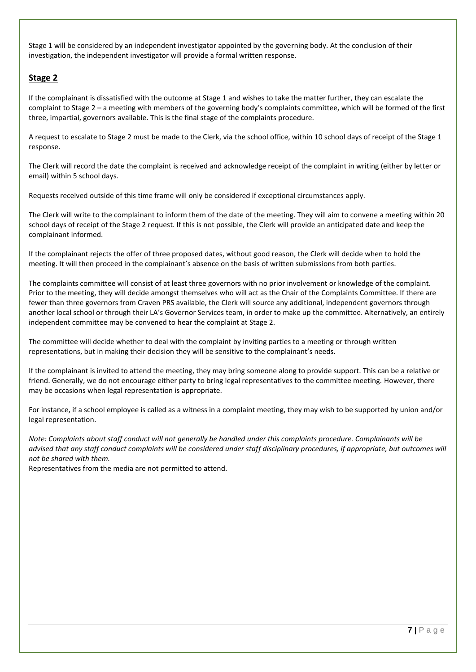Stage 1 will be considered by an independent investigator appointed by the governing body. At the conclusion of their investigation, the independent investigator will provide a formal written response.

#### **Stage 2**

If the complainant is dissatisfied with the outcome at Stage 1 and wishes to take the matter further, they can escalate the complaint to Stage 2 – a meeting with members of the governing body's complaints committee, which will be formed of the first three, impartial, governors available. This is the final stage of the complaints procedure.

A request to escalate to Stage 2 must be made to the Clerk, via the school office, within 10 school days of receipt of the Stage 1 response.

The Clerk will record the date the complaint is received and acknowledge receipt of the complaint in writing (either by letter or email) within 5 school days.

Requests received outside of this time frame will only be considered if exceptional circumstances apply.

The Clerk will write to the complainant to inform them of the date of the meeting. They will aim to convene a meeting within 20 school days of receipt of the Stage 2 request. If this is not possible, the Clerk will provide an anticipated date and keep the complainant informed.

If the complainant rejects the offer of three proposed dates, without good reason, the Clerk will decide when to hold the meeting. It will then proceed in the complainant's absence on the basis of written submissions from both parties.

The complaints committee will consist of at least three governors with no prior involvement or knowledge of the complaint. Prior to the meeting, they will decide amongst themselves who will act as the Chair of the Complaints Committee. If there are fewer than three governors from Craven PRS available, the Clerk will source any additional, independent governors through another local school or through their LA's Governor Services team, in order to make up the committee. Alternatively, an entirely independent committee may be convened to hear the complaint at Stage 2.

The committee will decide whether to deal with the complaint by inviting parties to a meeting or through written representations, but in making their decision they will be sensitive to the complainant's needs.

If the complainant is invited to attend the meeting, they may bring someone along to provide support. This can be a relative or friend. Generally, we do not encourage either party to bring legal representatives to the committee meeting. However, there may be occasions when legal representation is appropriate.

For instance, if a school employee is called as a witness in a complaint meeting, they may wish to be supported by union and/or legal representation.

*Note: Complaints about staff conduct will not generally be handled under this complaints procedure. Complainants will be advised that any staff conduct complaints will be considered under staff disciplinary procedures, if appropriate, but outcomes will not be shared with them.* 

Representatives from the media are not permitted to attend.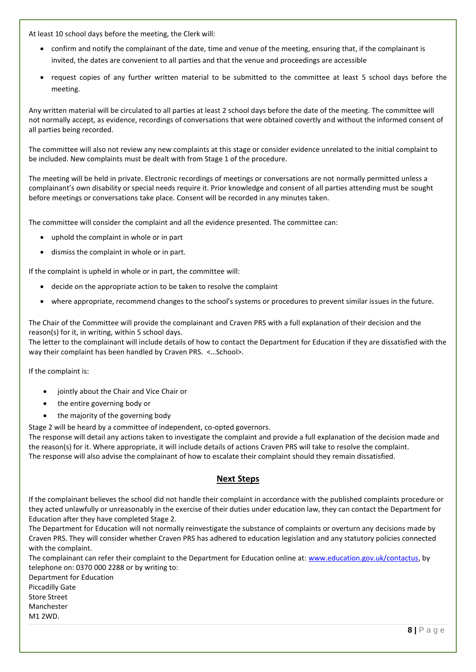At least 10 school days before the meeting, the Clerk will:

- confirm and notify the complainant of the date, time and venue of the meeting, ensuring that, if the complainant is invited, the dates are convenient to all parties and that the venue and proceedings are accessible
- request copies of any further written material to be submitted to the committee at least 5 school days before the meeting.

Any written material will be circulated to all parties at least 2 school days before the date of the meeting. The committee will not normally accept, as evidence, recordings of conversations that were obtained covertly and without the informed consent of all parties being recorded.

The committee will also not review any new complaints at this stage or consider evidence unrelated to the initial complaint to be included. New complaints must be dealt with from Stage 1 of the procedure.

The meeting will be held in private. Electronic recordings of meetings or conversations are not normally permitted unless a complainant's own disability or special needs require it. Prior knowledge and consent of all parties attending must be sought before meetings or conversations take place. Consent will be recorded in any minutes taken.

The committee will consider the complaint and all the evidence presented. The committee can:

- uphold the complaint in whole or in part
- dismiss the complaint in whole or in part.

If the complaint is upheld in whole or in part, the committee will:

- decide on the appropriate action to be taken to resolve the complaint
- where appropriate, recommend changes to the school's systems or procedures to prevent similar issues in the future.

The Chair of the Committee will provide the complainant and Craven PRS with a full explanation of their decision and the reason(s) for it, in writing, within 5 school days.

The letter to the complainant will include details of how to contact the Department for Education if they are dissatisfied with the way their complaint has been handled by Craven PRS. <…School>.

If the complaint is:

- jointly about the Chair and Vice Chair or
- the entire governing body or
- the majority of the governing body

Stage 2 will be heard by a committee of independent, co-opted governors.

The response will detail any actions taken to investigate the complaint and provide a full explanation of the decision made and the reason(s) for it. Where appropriate, it will include details of actions Craven PRS will take to resolve the complaint. The response will also advise the complainant of how to escalate their complaint should they remain dissatisfied.

#### **Next Steps**

If the complainant believes the school did not handle their complaint in accordance with the published complaints procedure or they acted unlawfully or unreasonably in the exercise of their duties under education law, they can contact the Department for Education after they have completed Stage 2.

The Department for Education will not normally reinvestigate the substance of complaints or overturn any decisions made by Craven PRS. They will consider whether Craven PRS has adhered to education legislation and any statutory policies connected with the complaint.

The complainant can refer their complaint to the Department for Education online at: [www.education.gov.uk/contactus,](http://www.education.gov.uk/contactus) by telephone on: 0370 000 2288 or by writing to:

Department for Education Piccadilly Gate Store Street Manchester M1 2WD.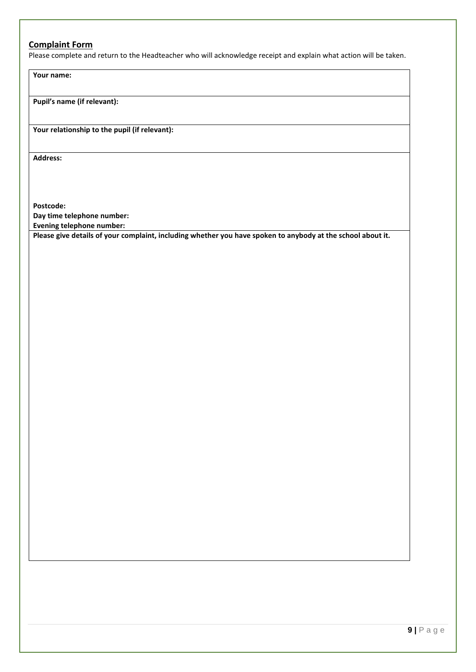#### **Complaint Form**

Please complete and return to the Headteacher who will acknowledge receipt and explain what action will be taken.

**Your name:**

**Pupil's name (if relevant):**

**Your relationship to the pupil (if relevant):**

**Address:** 

**Postcode: Day time telephone number:**

**Evening telephone number:**

**Please give details of your complaint, including whether you have spoken to anybody at the school about it.**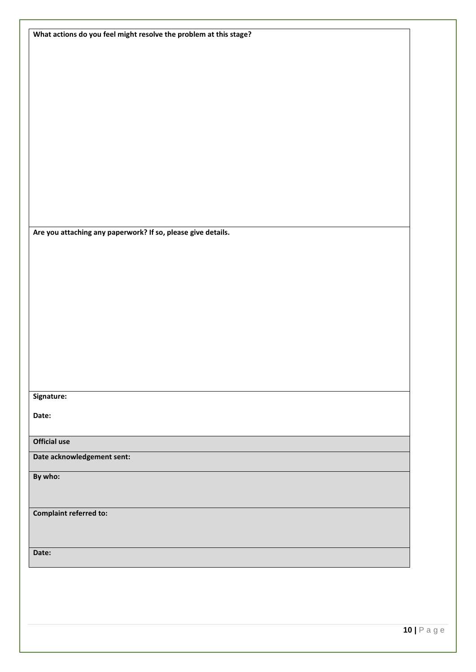| What actions do you feel might resolve the problem at this stage? |  |
|-------------------------------------------------------------------|--|
|                                                                   |  |
|                                                                   |  |
|                                                                   |  |
|                                                                   |  |
|                                                                   |  |
|                                                                   |  |
|                                                                   |  |
|                                                                   |  |
|                                                                   |  |
|                                                                   |  |
|                                                                   |  |
|                                                                   |  |
|                                                                   |  |
| Are you attaching any paperwork? If so, please give details.      |  |
|                                                                   |  |
|                                                                   |  |
|                                                                   |  |
|                                                                   |  |
|                                                                   |  |
|                                                                   |  |
|                                                                   |  |
|                                                                   |  |
|                                                                   |  |
|                                                                   |  |
| Signature:                                                        |  |
| Date:                                                             |  |
|                                                                   |  |
| <b>Official use</b>                                               |  |
| Date acknowledgement sent:                                        |  |
| By who:                                                           |  |
|                                                                   |  |
|                                                                   |  |
| <b>Complaint referred to:</b>                                     |  |
|                                                                   |  |
|                                                                   |  |
| Date:                                                             |  |
|                                                                   |  |
|                                                                   |  |
|                                                                   |  |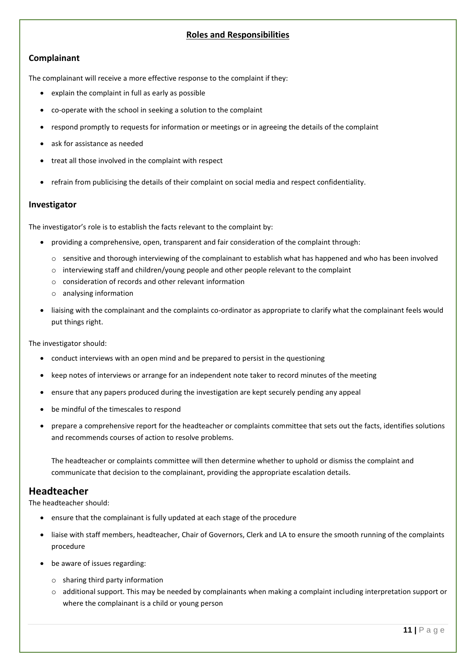#### **Roles and Responsibilities**

#### **Complainant**

The complainant will receive a more effective response to the complaint if they:

- explain the complaint in full as early as possible
- co-operate with the school in seeking a solution to the complaint
- respond promptly to requests for information or meetings or in agreeing the details of the complaint
- ask for assistance as needed
- treat all those involved in the complaint with respect
- refrain from publicising the details of their complaint on social media and respect confidentiality.

#### **Investigator**

The investigator's role is to establish the facts relevant to the complaint by:

- providing a comprehensive, open, transparent and fair consideration of the complaint through:
	- o sensitive and thorough interviewing of the complainant to establish what has happened and who has been involved
	- $\circ$  interviewing staff and children/young people and other people relevant to the complaint
	- o consideration of records and other relevant information
	- o analysing information
- liaising with the complainant and the complaints co-ordinator as appropriate to clarify what the complainant feels would put things right.

The investigator should:

- conduct interviews with an open mind and be prepared to persist in the questioning
- keep notes of interviews or arrange for an independent note taker to record minutes of the meeting
- ensure that any papers produced during the investigation are kept securely pending any appeal
- be mindful of the timescales to respond
- prepare a comprehensive report for the headteacher or complaints committee that sets out the facts, identifies solutions and recommends courses of action to resolve problems.

The headteacher or complaints committee will then determine whether to uphold or dismiss the complaint and communicate that decision to the complainant, providing the appropriate escalation details.

#### **Headteacher**

The headteacher should:

- ensure that the complainant is fully updated at each stage of the procedure
- liaise with staff members, headteacher, Chair of Governors, Clerk and LA to ensure the smooth running of the complaints procedure
- be aware of issues regarding:
	- o sharing third party information
	- $\circ$  additional support. This may be needed by complainants when making a complaint including interpretation support or where the complainant is a child or young person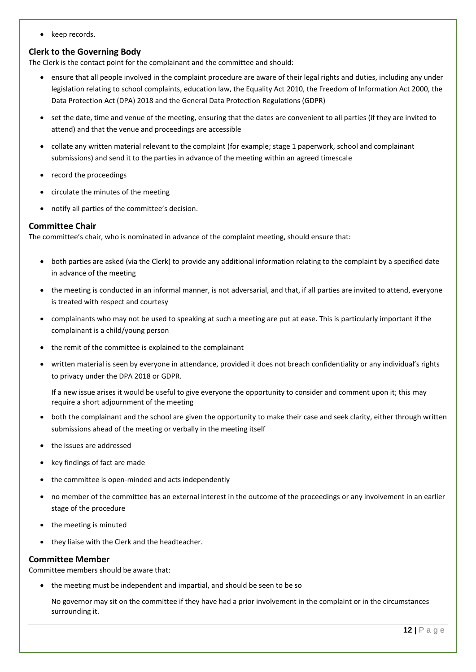• keep records.

#### **Clerk to the Governing Body**

The Clerk is the contact point for the complainant and the committee and should:

- ensure that all people involved in the complaint procedure are aware of their legal rights and duties, including any under legislation relating to school complaints, education law, the Equality Act 2010, the Freedom of Information Act 2000, the Data Protection Act (DPA) 2018 and the General Data Protection Regulations (GDPR)
- set the date, time and venue of the meeting, ensuring that the dates are convenient to all parties (if they are invited to attend) and that the venue and proceedings are accessible
- collate any written material relevant to the complaint (for example; stage 1 paperwork, school and complainant submissions) and send it to the parties in advance of the meeting within an agreed timescale
- record the proceedings
- circulate the minutes of the meeting
- notify all parties of the committee's decision.

#### **Committee Chair**

The committee's chair, who is nominated in advance of the complaint meeting, should ensure that:

- both parties are asked (via the Clerk) to provide any additional information relating to the complaint by a specified date in advance of the meeting
- the meeting is conducted in an informal manner, is not adversarial, and that, if all parties are invited to attend, everyone is treated with respect and courtesy
- complainants who may not be used to speaking at such a meeting are put at ease. This is particularly important if the complainant is a child/young person
- the remit of the committee is explained to the complainant
- written material is seen by everyone in attendance, provided it does not breach confidentiality or any individual's rights to privacy under the DPA 2018 or GDPR.

If a new issue arises it would be useful to give everyone the opportunity to consider and comment upon it; this may require a short adjournment of the meeting

- both the complainant and the school are given the opportunity to make their case and seek clarity, either through written submissions ahead of the meeting or verbally in the meeting itself
- the issues are addressed
- key findings of fact are made
- the committee is open-minded and acts independently
- no member of the committee has an external interest in the outcome of the proceedings or any involvement in an earlier stage of the procedure
- the meeting is minuted
- they liaise with the Clerk and the headteacher.

#### **Committee Member**

Committee members should be aware that:

• the meeting must be independent and impartial, and should be seen to be so

No governor may sit on the committee if they have had a prior involvement in the complaint or in the circumstances surrounding it.